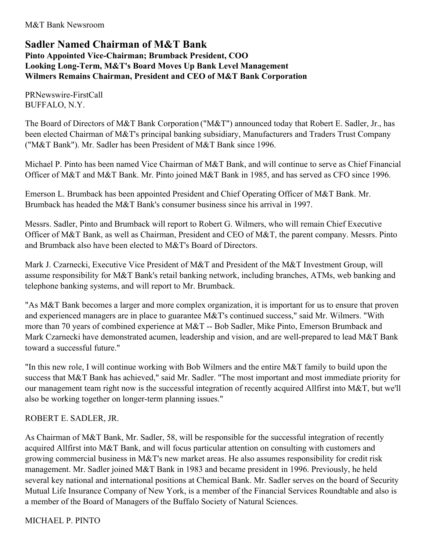M&T Bank Newsroom

# **Sadler Named Chairman of M&T Bank Pinto Appointed Vice-Chairman; Brumback President, COO Looking Long-Term, M&T's Board Moves Up Bank Level Management Wilmers Remains Chairman, President and CEO of M&T Bank Corporation**

PRNewswire-FirstCall BUFFALO, N.Y.

The Board of Directors of M&T Bank Corporation ("M&T") announced today that Robert E. Sadler, Jr., has been elected Chairman of M&T's principal banking subsidiary, Manufacturers and Traders Trust Company ("M&T Bank"). Mr. Sadler has been President of M&T Bank since 1996.

Michael P. Pinto has been named Vice Chairman of M&T Bank, and will continue to serve as Chief Financial Officer of M&T and M&T Bank. Mr. Pinto joined M&T Bank in 1985, and has served as CFO since 1996.

Emerson L. Brumback has been appointed President and Chief Operating Officer of M&T Bank. Mr. Brumback has headed the M&T Bank's consumer business since his arrival in 1997.

Messrs. Sadler, Pinto and Brumback will report to Robert G. Wilmers, who will remain Chief Executive Officer of M&T Bank, as well as Chairman, President and CEO of M&T, the parent company. Messrs. Pinto and Brumback also have been elected to M&T's Board of Directors.

Mark J. Czarnecki, Executive Vice President of M&T and President of the M&T Investment Group, will assume responsibility for M&T Bank's retail banking network, including branches, ATMs, web banking and telephone banking systems, and will report to Mr. Brumback.

"As M&T Bank becomes a larger and more complex organization, it is important for us to ensure that proven and experienced managers are in place to guarantee M&T's continued success," said Mr. Wilmers. "With more than 70 years of combined experience at M&T -- Bob Sadler, Mike Pinto, Emerson Brumback and Mark Czarnecki have demonstrated acumen, leadership and vision, and are well-prepared to lead M&T Bank toward a successful future."

"In this new role, I will continue working with Bob Wilmers and the entire M&T family to build upon the success that M&T Bank has achieved," said Mr. Sadler. "The most important and most immediate priority for our management team right now is the successful integration of recently acquired Allfirst into M&T, but we'll also be working together on longer-term planning issues."

## ROBERT E. SADLER, JR.

As Chairman of M&T Bank, Mr. Sadler, 58, will be responsible for the successful integration of recently acquired Allfirst into M&T Bank, and will focus particular attention on consulting with customers and growing commercial business in M&T's new market areas. He also assumes responsibility for credit risk management. Mr. Sadler joined M&T Bank in 1983 and became president in 1996. Previously, he held several key national and international positions at Chemical Bank. Mr. Sadler serves on the board of Security Mutual Life Insurance Company of New York, is a member of the Financial Services Roundtable and also is a member of the Board of Managers of the Buffalo Society of Natural Sciences.

## MICHAEL P. PINTO